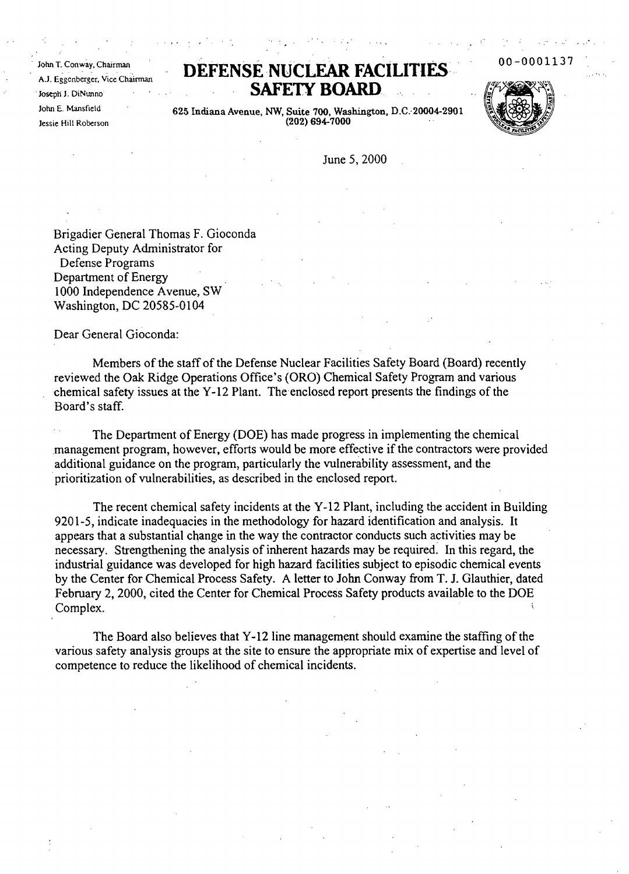John T. Conway, Chairman AJ. Eggenberger, Vice Chairman .Joseph J. DiNunno John E. Mansfield Jessie Hill Roberson

## DEFENSE NUCLEAR FACILIT **SAFETY BOARD**



00-0001

625 Indiana Avenue, NW, Suite 700, Washington, D.C.-20004-2901 (202) 694-7000

June 5, 2000

Brigadier General Thomas F. Gioconda Acting Deputy Administrator for Defense Programs Department of Energy 1000 Independence Avenue, SW Washington, DC 20585-0104

Dear General Gioconda:

Members of the staff of the Defense Nuclear Facilities Safety Board (Board) recently reviewed the Oak Ridge Operations Office's (ORO) Chemical Safety Program and various chemical safety issues at the Y-12 Plant. The enclosed report presents the findings of the Board's staff.

The Department of Energy (DOE) has made progress in implementing the chemical management program, however, efforts would be more effective if the contractors were provided additional guidance on the program, particularly the vulnerability assessment, and the .prioritization of vulnerabilities, as described in the enclosed report.

The recent chemical safety incidents at the Y-12 Plant, including the accident in Building 9201-5, indicate inadequacies in the methodology for hazard identification and analysis. It appears that a substantial change in the way the contractor conducts such activities may be necessary. Strengthening the analysis of inherent hazards may be required. In this regard, the industrial guidance was developed for high hazard facilities subject to episodic chemical events by the Center for Chemical Process Safety. A letter to John Conway from T. 1. Glauthier, dated February 2, 2000, cited the Center for Chemical Process Safety products available to the DOE examplex. The complex of the contract of the contract of the contract of the contract of the contract of the contract of the contract of the contract of the contract of the contract of the contract of the contract of the c

The Board also believes that Y-12 line management should examine the staffing of the various safety analysis groups at the site to ensure the appropriate mix of expertise and level of competence to reduce the likelihood of chemical incidents.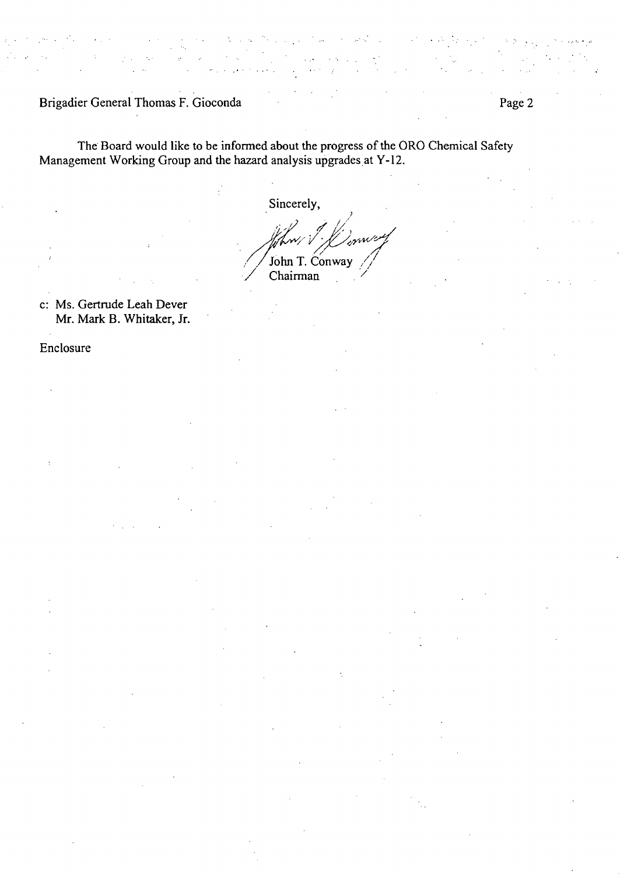Brigadier General Thomas F. Gioconda **Page 2** Page 2

The Board would like to be informed about the progress of the ORO Chemical Safety Management Working Group and the hazard analysis upgrades at Y-12.

Sincerely,

,  $\sqrt{2}$ Sincerely,<br>liftw/ *{\fffffffffffffffffffffffffffff* John T. Conway Chairman

 $\ddotsc$ 

c: Ms. Gertrude Leah Dever Mr. Mark 8. Whitaker, Jr.

Enclosure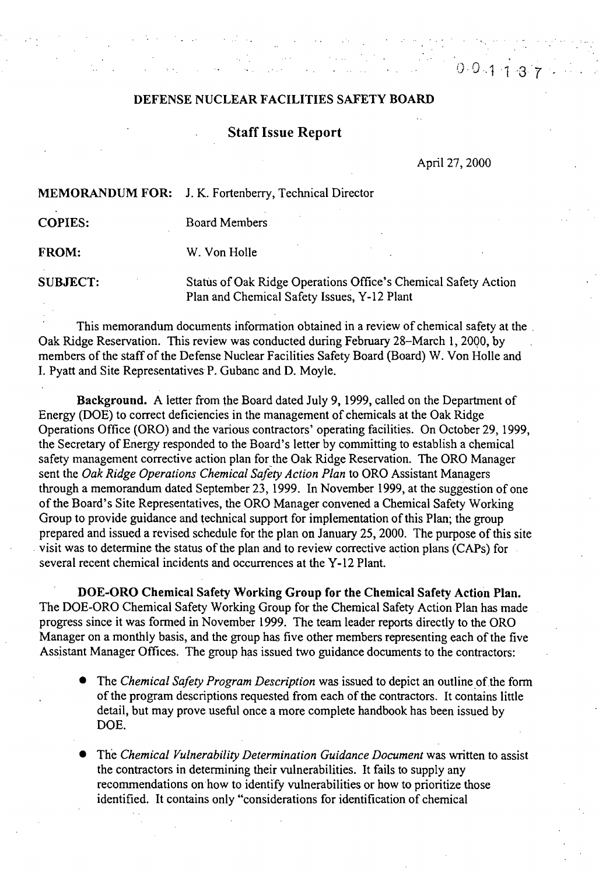## DEFENSE NUCLEAR FACILITIES SAFETY BOARD

## Staff Issue Report

April 27, 2000

 $0.0.113$ 

MEMORANDUM FOR: J. K. Fortenberry, Technical Director

COPIES: Board Members

FROM: W. Von Holle

SUBJECT: Status of Oak Ridge Operations Office's Chemical Safety Action Plan and Chemical Safety Issues, Y-12 Plant

This memorandum documents information obtained in a review of chemical safety at the Oak Ridge Reservation. This review was conducted during February 28–March 1, 2000, by members of the staff of the Defense Nuclear Facilities Safety Board (Board) W. Von Holle and I. Pyatt and Site Representatives P. Gubanc and D. Moyle.

Background. A letter from the Board dated July 9, 1999, called on the Department of Energy (DOE) to correct deficiencies in the management of chemicals at the Oak Ridge Operations Office (ORO) and the various contractors' operating facilities. On October 29, 1999, the Secretary of Energy responded to the Board's letter by committing to establish a chemical safety management corrective action plan for the Oak Ridge Reservation. The ORO Manager sent the *Oak Ridge Operations Chemical Safety Action Plan* to ORO Assistant Managers through a memorandum dated September 23, 1999. In November 1999, at the suggestion of one of the Board's Site Representatives, the ORO Manager convened a Chemical Safety Working Group to provide guidance and technical support for implementation of this Plan; the group prepared and issued a revised schedule for the plan on January 25, 2000. The purpose ofthis site visit was to determine the status of the plan and to review corrective action plans (CAPs) for several recent chemical incidents and occurrences at the Y-12 Plant.

DOE-ORO Chemical Safety Working Group for the Chemical Safety Action Plan. The DOE-ORO Chemical Safety Working Group for the Chemical Safety Action-Plan has made progress since it was fonned in November 1999. The team leader reports directly to the ORO Manager on a monthly basis, and the group has five other members representing each of the five Assistant Manager Offices. The group has issued two guidance documents to the contractors:

- The *Chemical Safety Program Description* was issued to depict an outline of the form of the program descriptions requested from each of the contractors. It contains little detail, but may prove useful once a more complete handbook has been issued by DOE.
- The *Chemical Vulnerability Determination Guidance Document* was written to assist the contractors in detennining their vulnerabilities. It fails to supply any recommendations on how to identify vulnerabilities or how to prioritize those identified. It contains only "considerations for identification of chemical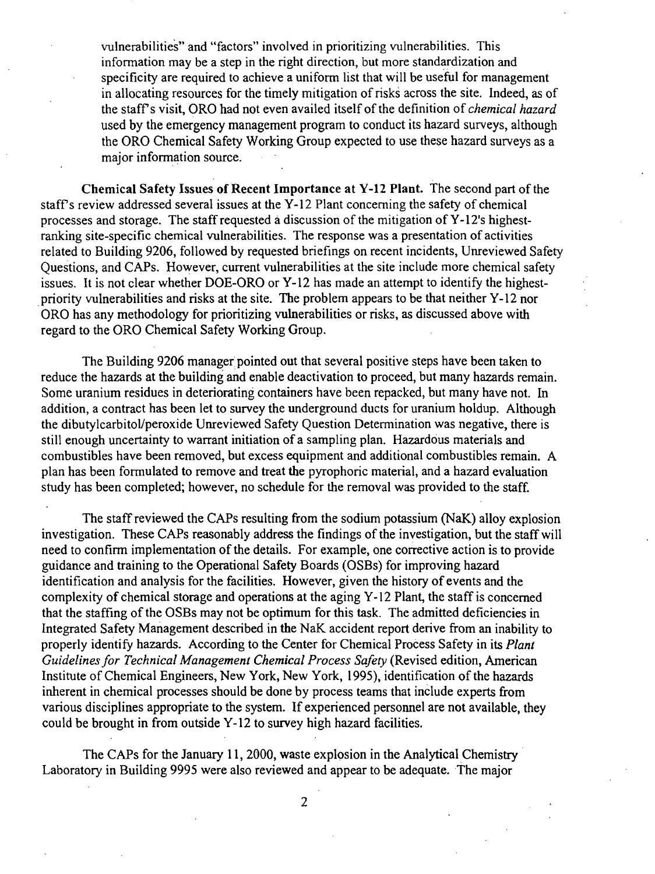vulnerabilities" and "factors" involved in prioritizing vulnerabilities. This information may be a step in the right direction, but more standardization and specificity are required to achieve a uniform list that will be useful for management in allocating resources for the timely mitigation of risks across the site. Indeed, as of the staff's visit, ORO had not even availed itself of the definition of *chemical hazard* used by the emergency management program to conduct its hazard surveys, although the ORO Chemical Safety Working Group expected to use these hazard surveys as a major information source.

Chemical Safety Issues of Recent Importance at Y-12 Plant. The second part of the staff's review addressed several issues at the Y-12 Plant concerning the safety of chemical processes and storage. The staff requested a discussion of the mitigation of Y-12's highestranking site-specific chemical vulnerabilities. The response was a presentation of activities related to Building 9206, followed by requested briefings on recent incidents, Unreviewed Safety Questions, and CAPs. However, current vulnerabilities at the site include more chemical safety issues. It is not clear whether DOE-ORO or Y-12 has made an attempt to identify the highestpriority vulnerabilities and risks at the site. The problem appears to be that neither Y-12 nor ORO has any methodology for prioritizing vulnerabilities or risks, as discussed above with regard to the ORO Chemical Safety Working Group.

The Building 9206 manager pointed out that several positive steps have been taken to reduce the hazards at the building and enable deactivation to proceed, but many hazards remain. Some uranium residues in deteriorating containers have been repacked, but many have not. In addition, a contract has been let to survey the underground ducts for uranium holdup. Although the dibutylcarbitol/peroxide Unreviewed Safety Question Determination was negative, there is still enough uncertainty to warrant initiation of a sampling plan. Hazardous materials and combustibles have been removed, but excess equipment and additional combustibles remain. A plan has been formulated to remove and treat the pyrophoric material, and a hazard evaluation study has been completed; however, no schedule for the removal was provided to the staff.

The staff reviewed the CAPs resulting from the sodium potassium (NaK) alloy explosion investigation. These CAPs reasonably address the findings of the investigation, but the staff will need to confirm implementation of the details. For example, one corrective action is to provide guidance and training to the Operational Safety Boards (OSBs) for improving hazard identification and analysis for the facilities. However, given the history of events and the complexity of chemical storage and operations at the aging Y-12 Plant, the staff is concerned that the staffing of the OSBs may not be optimum for this task. The admitted deficiencies in Integrated Safety Management described in the NaK accident report derive from an inability to properly identify hazards. According to the Center for Chemical Process Safety in its *Plant Guidelinesfor Technical Management Chemical Process Safety* (Revised edition, American Institute of Chemical Engineers, New York, New York, 1995), identification of the hazards inherent in chemical processes should be done by process teams that inClude experts from various disciplines appropriate to the system. If experienced personnel are not available, they could be brought in from outside Y-12 to survey high hazard facilities.

The CAPs for the January 11, 2000, waste explosion in the Analytical Chemistry . Laboratory in Building 9995 were also reviewed and appear to be adequate. The major

2